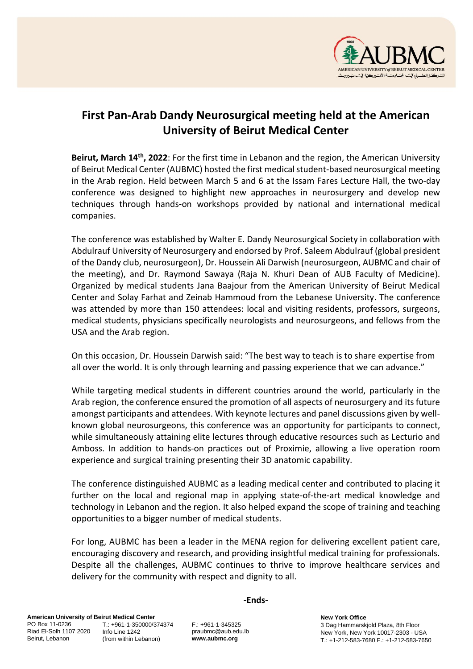

## **First Pan-Arab Dandy Neurosurgical meeting held at the American University of Beirut Medical Center**

**Beirut, March 14th, 2022**: For the first time in Lebanon and the region, the American University of Beirut Medical Center (AUBMC) hosted the first medical student-based neurosurgical meeting in the Arab region. Held between March 5 and 6 at the Issam Fares Lecture Hall, the two-day conference was designed to highlight new approaches in neurosurgery and develop new techniques through hands-on workshops provided by national and international medical companies.

The conference was established by Walter E. Dandy Neurosurgical Society in collaboration with Abdulrauf University of Neurosurgery and endorsed by Prof. Saleem Abdulrauf (global president of the Dandy club, neurosurgeon), Dr. Houssein Ali Darwish (neurosurgeon, AUBMC and chair of the meeting), and Dr. Raymond Sawaya (Raja N. Khuri Dean of AUB Faculty of Medicine). Organized by medical students Jana Baajour from the American University of Beirut Medical Center and Solay Farhat and Zeinab Hammoud from the Lebanese University. The conference was attended by more than 150 attendees: local and visiting residents, professors, surgeons, medical students, physicians specifically neurologists and neurosurgeons, and fellows from the USA and the Arab region.

On this occasion, Dr. Houssein Darwish said: "The best way to teach is to share expertise from all over the world. It is only through learning and passing experience that we can advance."

While targeting medical students in different countries around the world, particularly in the Arab region, the conference ensured the promotion of all aspects of neurosurgery and its future amongst participants and attendees. With keynote lectures and panel discussions given by wellknown global neurosurgeons, this conference was an opportunity for participants to connect, while simultaneously attaining elite lectures through educative resources such as Lecturio and Amboss. In addition to hands-on practices out of Proximie, allowing a live operation room experience and surgical training presenting their 3D anatomic capability.

The conference distinguished AUBMC as a leading medical center and contributed to placing it further on the local and regional map in applying state-of-the-art medical knowledge and technology in Lebanon and the region. It also helped expand the scope of training and teaching opportunities to a bigger number of medical students.

For long, AUBMC has been a leader in the MENA region for delivering excellent patient care, encouraging discovery and research, and providing insightful medical training for professionals. Despite all the challenges, AUBMC continues to thrive to improve healthcare services and delivery for the community with respect and dignity to all.

**-Ends-**